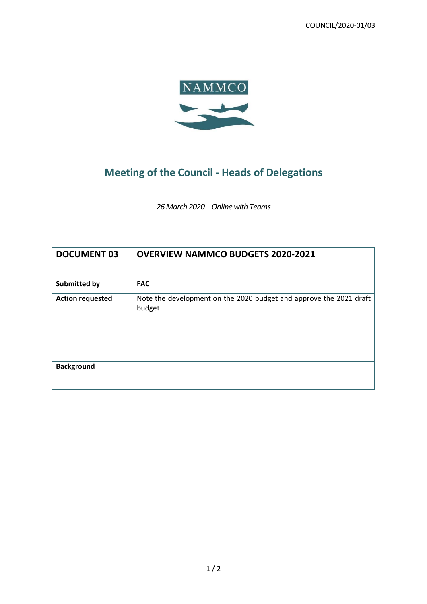COUNCIL/2020-01/03



## **Meeting of the Council - Heads of Delegations**

*26 March 2020 –Online with Teams*

| <b>DOCUMENT 03</b>      | <b>OVERVIEW NAMMCO BUDGETS 2020-2021</b>                                     |
|-------------------------|------------------------------------------------------------------------------|
| <b>Submitted by</b>     | <b>FAC</b>                                                                   |
| <b>Action requested</b> | Note the development on the 2020 budget and approve the 2021 draft<br>budget |
| <b>Background</b>       |                                                                              |